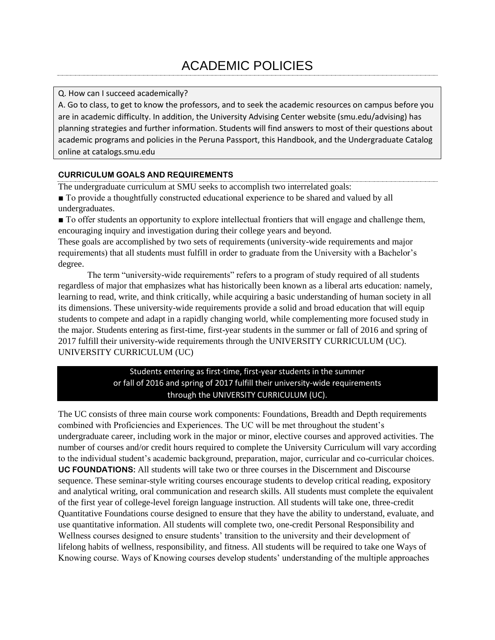### Q. How can I succeed academically?

A. Go to class, to get to know the professors, and to seek the academic resources on campus before you are in academic difficulty. In addition, the University Advising Center website (smu.edu/advising) has planning strategies and further information. Students will find answers to most of their questions about academic programs and policies in the Peruna Passport, this Handbook, and the Undergraduate Catalog online at catalogs.smu.edu

# **CURRICULUM GOALS AND REQUIREMENTS**

The undergraduate curriculum at SMU seeks to accomplish two interrelated goals:

■ To provide a thoughtfully constructed educational experience to be shared and valued by all undergraduates.

■ To offer students an opportunity to explore intellectual frontiers that will engage and challenge them, encouraging inquiry and investigation during their college years and beyond.

These goals are accomplished by two sets of requirements (university-wide requirements and major requirements) that all students must fulfill in order to graduate from the University with a Bachelor's degree.

The term "university-wide requirements" refers to a program of study required of all students regardless of major that emphasizes what has historically been known as a liberal arts education: namely, learning to read, write, and think critically, while acquiring a basic understanding of human society in all its dimensions. These university-wide requirements provide a solid and broad education that will equip students to compete and adapt in a rapidly changing world, while complementing more focused study in the major. Students entering as first-time, first-year students in the summer or fall of 2016 and spring of 2017 fulfill their university-wide requirements through the UNIVERSITY CURRICULUM (UC). UNIVERSITY CURRICULUM (UC)

# Students entering as first-time, first-year students in the summer or fall of 2016 and spring of 2017 fulfill their university-wide requirements through the UNIVERSITY CURRICULUM (UC).

The UC consists of three main course work components: Foundations, Breadth and Depth requirements combined with Proficiencies and Experiences. The UC will be met throughout the student's undergraduate career, including work in the major or minor, elective courses and approved activities. The number of courses and/or credit hours required to complete the University Curriculum will vary according to the individual student's academic background, preparation, major, curricular and co-curricular choices. **UC FOUNDATIONS:** All students will take two or three courses in the Discernment and Discourse sequence. These seminar-style writing courses encourage students to develop critical reading, expository and analytical writing, oral communication and research skills. All students must complete the equivalent of the first year of college-level foreign language instruction. All students will take one, three-credit Quantitative Foundations course designed to ensure that they have the ability to understand, evaluate, and use quantitative information. All students will complete two, one-credit Personal Responsibility and Wellness courses designed to ensure students' transition to the university and their development of lifelong habits of wellness, responsibility, and fitness. All students will be required to take one Ways of Knowing course. Ways of Knowing courses develop students' understanding of the multiple approaches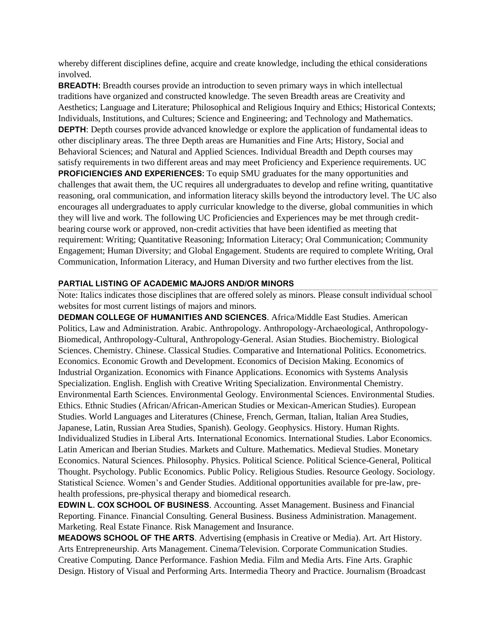whereby different disciplines define, acquire and create knowledge, including the ethical considerations involved.

**BREADTH:** Breadth courses provide an introduction to seven primary ways in which intellectual traditions have organized and constructed knowledge. The seven Breadth areas are Creativity and Aesthetics; Language and Literature; Philosophical and Religious Inquiry and Ethics; Historical Contexts; Individuals, Institutions, and Cultures; Science and Engineering; and Technology and Mathematics. **DEPTH**: Depth courses provide advanced knowledge or explore the application of fundamental ideas to other disciplinary areas. The three Depth areas are Humanities and Fine Arts; History, Social and Behavioral Sciences; and Natural and Applied Sciences. Individual Breadth and Depth courses may satisfy requirements in two different areas and may meet Proficiency and Experience requirements. UC **PROFICIENCIES AND EXPERIENCES:** To equip SMU graduates for the many opportunities and challenges that await them, the UC requires all undergraduates to develop and refine writing, quantitative reasoning, oral communication, and information literacy skills beyond the introductory level. The UC also encourages all undergraduates to apply curricular knowledge to the diverse, global communities in which they will live and work. The following UC Proficiencies and Experiences may be met through creditbearing course work or approved, non-credit activities that have been identified as meeting that requirement: Writing; Quantitative Reasoning; Information Literacy; Oral Communication; Community Engagement; Human Diversity; and Global Engagement. Students are required to complete Writing, Oral Communication, Information Literacy, and Human Diversity and two further electives from the list.

#### **PARTIAL LISTING OF ACADEMIC MAJORS AND/OR MINORS**

Note: Italics indicates those disciplines that are offered solely as minors. Please consult individual school websites for most current listings of majors and minors.

**DEDMAN COLLEGE OF HUMANITIES AND SCIENCES**. Africa/Middle East Studies. American Politics, Law and Administration. Arabic. Anthropology. Anthropology-Archaeological, Anthropology-Biomedical, Anthropology-Cultural, Anthropology-General. Asian Studies. Biochemistry. Biological Sciences. Chemistry. Chinese. Classical Studies. Comparative and International Politics. Econometrics. Economics. Economic Growth and Development. Economics of Decision Making. Economics of Industrial Organization. Economics with Finance Applications. Economics with Systems Analysis Specialization. English. English with Creative Writing Specialization. Environmental Chemistry. Environmental Earth Sciences. Environmental Geology. Environmental Sciences. Environmental Studies. Ethics. Ethnic Studies (African/African-American Studies or Mexican-American Studies). European Studies. World Languages and Literatures (Chinese, French, German, Italian, Italian Area Studies, Japanese, Latin, Russian Area Studies, Spanish). Geology. Geophysics. History. Human Rights. Individualized Studies in Liberal Arts. International Economics. International Studies. Labor Economics. Latin American and Iberian Studies. Markets and Culture. Mathematics. Medieval Studies. Monetary Economics. Natural Sciences. Philosophy. Physics. Political Science. Political Science-General, Political Thought. Psychology. Public Economics. Public Policy. Religious Studies. Resource Geology. Sociology. Statistical Science. Women's and Gender Studies. Additional opportunities available for pre-law, prehealth professions, pre-physical therapy and biomedical research.

**EDWIN L. COX SCHOOL OF BUSINESS**. Accounting. Asset Management. Business and Financial Reporting. Finance. Financial Consulting. General Business. Business Administration. Management. Marketing. Real Estate Finance. Risk Management and Insurance.

**MEADOWS SCHOOL OF THE ARTS**. Advertising (emphasis in Creative or Media). Art. Art History. Arts Entrepreneurship. Arts Management. Cinema/Television. Corporate Communication Studies. Creative Computing. Dance Performance. Fashion Media. Film and Media Arts. Fine Arts. Graphic Design. History of Visual and Performing Arts. Intermedia Theory and Practice. Journalism (Broadcast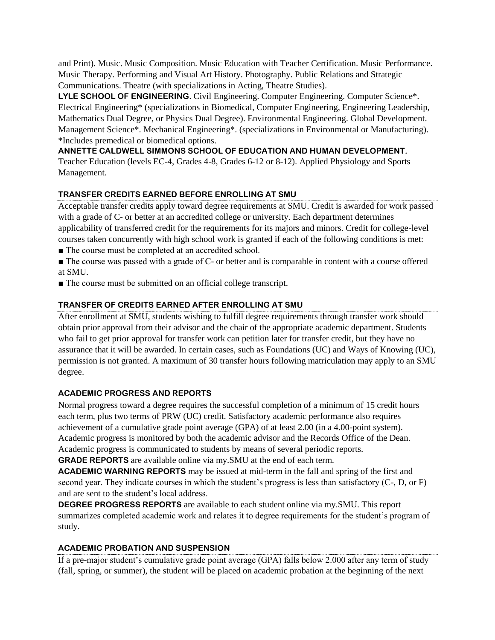and Print). Music. Music Composition. Music Education with Teacher Certification. Music Performance. Music Therapy. Performing and Visual Art History. Photography. Public Relations and Strategic Communications. Theatre (with specializations in Acting, Theatre Studies).

**LYLE SCHOOL OF ENGINEERING**. Civil Engineering. Computer Engineering. Computer Science\*. Electrical Engineering\* (specializations in Biomedical, Computer Engineering, Engineering Leadership, Mathematics Dual Degree, or Physics Dual Degree). Environmental Engineering. Global Development. Management Science\*. Mechanical Engineering\*. (specializations in Environmental or Manufacturing). \*Includes premedical or biomedical options.

**ANNETTE CALDWELL SIMMONS SCHOOL OF EDUCATION AND HUMAN DEVELOPMENT.**

Teacher Education (levels EC-4, Grades 4-8, Grades 6-12 or 8-12). Applied Physiology and Sports Management.

# **TRANSFER CREDITS EARNED BEFORE ENROLLING AT SMU**

Acceptable transfer credits apply toward degree requirements at SMU. Credit is awarded for work passed with a grade of C- or better at an accredited college or university. Each department determines applicability of transferred credit for the requirements for its majors and minors. Credit for college-level courses taken concurrently with high school work is granted if each of the following conditions is met:

- The course must be completed at an accredited school.
- The course was passed with a grade of C- or better and is comparable in content with a course offered at SMU.
- The course must be submitted on an official college transcript.

### **TRANSFER OF CREDITS EARNED AFTER ENROLLING AT SMU**

After enrollment at SMU, students wishing to fulfill degree requirements through transfer work should obtain prior approval from their advisor and the chair of the appropriate academic department. Students who fail to get prior approval for transfer work can petition later for transfer credit, but they have no assurance that it will be awarded. In certain cases, such as Foundations (UC) and Ways of Knowing (UC), permission is not granted. A maximum of 30 transfer hours following matriculation may apply to an SMU degree.

### **ACADEMIC PROGRESS AND REPORTS**

Normal progress toward a degree requires the successful completion of a minimum of 15 credit hours each term, plus two terms of PRW (UC) credit. Satisfactory academic performance also requires achievement of a cumulative grade point average (GPA) of at least 2.00 (in a 4.00-point system). Academic progress is monitored by both the academic advisor and the Records Office of the Dean. Academic progress is communicated to students by means of several periodic reports.

**GRADE REPORTS** are available online via my.SMU at the end of each term.

**ACADEMIC WARNING REPORTS** may be issued at mid-term in the fall and spring of the first and second year. They indicate courses in which the student's progress is less than satisfactory (C-, D, or F) and are sent to the student's local address.

**DEGREE PROGRESS REPORTS** are available to each student online via my.SMU. This report summarizes completed academic work and relates it to degree requirements for the student's program of study.

### **ACADEMIC PROBATION AND SUSPENSION**

If a pre-major student's cumulative grade point average (GPA) falls below 2.000 after any term of study (fall, spring, or summer), the student will be placed on academic probation at the beginning of the next